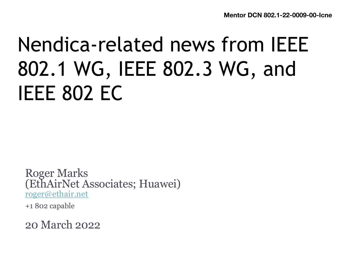## Nendica-related news from IEEE 802.1 WG, IEEE 802.3 WG, and IEEE 802 EC

Roger Marks (EthAirNet Associates; Huawei) [roger@ethair.ne](mailto:roger@ethair.net)t

+1 802 capable

20 March 2022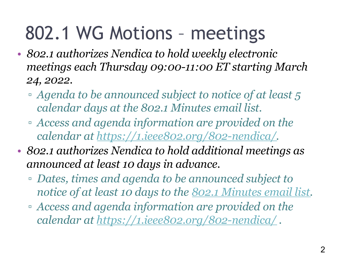### 802.1 WG Motions – meetings

- *802.1 authorizes Nendica to hold weekly electronic meetings each Thursday 09:00-11:00 ET starting March 24, 2022.*
	- *Agenda to be announced subject to notice of at least 5 calendar days at the 802.1 Minutes email list.*
	- *Access and agenda information are provided on the calendar a[t https://1.ieee802.org/802-nendica/](https://1.ieee802.org/802-nendica/).*
- *802.1 authorizes Nendica to hold additional meetings as announced at least 10 days in advance.*
	- *Dates, times and agenda to be announced subject to notice of at least 10 days to th[e 802.1 Minutes email lis](https://listserv.ieee.org/cgi-bin/wa?A0=STDS-802-1-MINUTES)t.*
	- *Access and agenda information are provided on the calendar a[t https://1.ieee802.org/802-nendica/](https://1.ieee802.org/802-nendica/) .*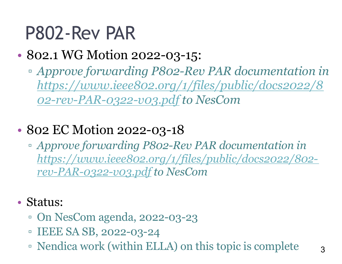#### P802-Rev PAR

#### • 802.1 WG Motion 2022-03-15:

- *Approve forwarding P802-Rev PAR documentation in [https://www.ieee802.org/1/files/public/docs2022/8](https://www.ieee802.org/1/files/public/docs2022/802-rev-PAR-0322-v03.pdf) 02-rev-PAR-0322-v03.pdf to NesCom*
- 802 EC Motion 2022-03-18
	- *Approve forwarding P802-Rev PAR documentation in [https://www.ieee802.org/1/files/public/docs2022/802](https://www.ieee802.org/1/files/public/docs2022/802-rev-PAR-0322-v03.pdf) rev-PAR-0322-v03.pdf to NesCom*
- Status:
	- On NesCom agenda, 2022-03-23
	- IEEE SA SB, 2022-03-24
	- Nendica work (within ELLA) on this topic is complete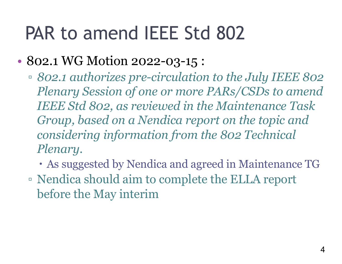### PAR to amend IEEE Std 802

- 802.1 WG Motion 2022-03-15 :
	- *802.1 authorizes pre-circulation to the July IEEE 802 Plenary Session of one or more PARs/CSDs to amend IEEE Std 802, as reviewed in the Maintenance Task Group, based on a Nendica report on the topic and considering information from the 802 Technical Plenary.*
		- As suggested by Nendica and agreed in Maintenance TG
	- Nendica should aim to complete the ELLA report before the May interim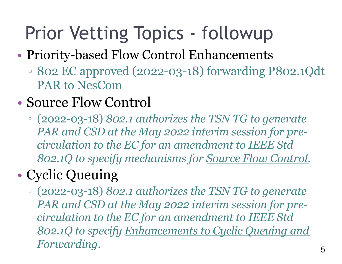## Prior Vetting Topics - followup

- Priority-based Flow Control Enhancements
	- 802 EC approved (2022-03-18) forwarding P802.1Qdt PAR to NesCom
- Source Flow Control
	- (2022-03-18) *802.1 authorizes the TSN TG to generate PAR and CSD at the May 2022 interim session for precirculation to the EC for an amendment to IEEE Std 802.1Q to specify mechanisms for Source Flow Control.*

#### • Cyclic Queuing

▫ (2022-03-18) *802.1 authorizes the TSN TG to generate PAR and CSD at the May 2022 interim session for precirculation to the EC for an amendment to IEEE Std 802.1Q to specify Enhancements to Cyclic Queuing and Forwarding.*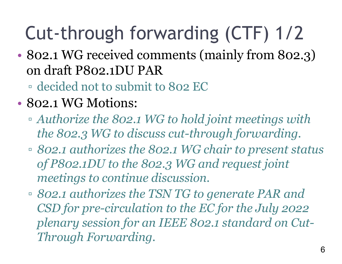## Cut-through forwarding (CTF) 1/2

• 802.1 WG received comments (mainly from 802.3) on draft P802.1DU PAR

▫ decided not to submit to 802 EC

- 802.1 WG Motions:
	- *Authorize the 802.1 WG to hold joint meetings with the 802.3 WG to discuss cut-through forwarding.*
	- *802.1 authorizes the 802.1 WG chair to present status of P802.1DU to the 802.3 WG and request joint meetings to continue discussion.*
	- *802.1 authorizes the TSN TG to generate PAR and CSD for pre-circulation to the EC for the July 2022 plenary session for an IEEE 802.1 standard on Cut-Through Forwarding.*